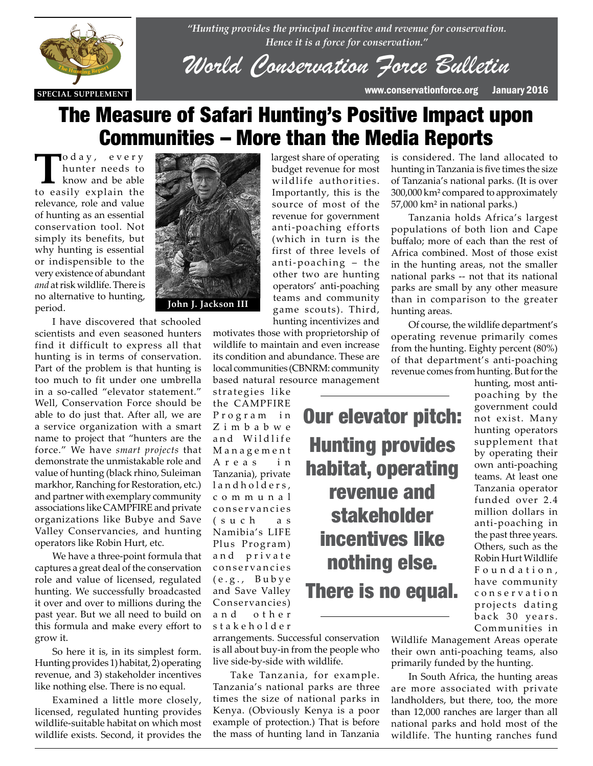

*"Hunting provides the principal incentive and revenue for conservation. Hence it is a force for conservation."*

*World Conservation Force Bulletin*

# The Measure of Safari Hunting's Positive Impact upon Communities – More than the Media Reports

To d a y, every<br>
hunter needs to<br>
know and be able<br>
to easily explain the hunter needs to to easily explain the relevance, role and value of hunting as an essential conservation tool. Not simply its benefits, but why hunting is essential or indispensible to the very existence of abundant *and* at risk wildlife. There is no alternative to hunting, period.



**EXECUTE:**<br>I have discovered that schooled scientists and even seasoned hunters find it difficult to express all that hunting is in terms of conservation. Part of the problem is that hunting is too much to fit under one umbrella in a so-called "elevator statement" Well, Conservation Force should be able to do just that. After all, we are a service organization with a smart name to project that "hunters are the force." We have *smart projects* that demonstrate the unmistakable role and value of hunting (black rhino, Suleiman markhor, Ranching for Restoration, etc.) and partner with exemplary community associations like CAMPFIRE and private organizations like Bubye and Save Valley Conservancies, and hunting operators like Robin Hurt, etc.

> We have a three-point formula that captures a great deal of the conservation role and value of licensed, regulated hunting. We successfully broadcasted it over and over to millions during the past year. But we all need to build on this formula and make every effort to grow it.

> So here it is, in its simplest form. Hunting provides 1) habitat, 2) operating revenue, and 3) stakeholder incentives like nothing else. There is no equal.

> Examined a little more closely, licensed, regulated hunting provides wildlife-suitable habitat on which most wildlife exists. Second, it provides the

largest share of operating budget revenue for most wildlife authorities. Importantly, this is the source of most of the revenue for government anti-poaching efforts (which in turn is the first of three levels of anti-poaching – the other two are hunting operators' anti-poaching teams and community game scouts). Third, hunting incentivizes and

Our elevator pitch:

Hunting provides

habitat, operating

revenue and

stakeholder

incentives like

nothing else.

There is no equal.

motivates those with proprietorship of wildlife to maintain and even increase its condition and abundance. These are local communities (CBNRM: community based natural resource management

strategies like the CAMPFIRE Program in Z i m b a b w e and Wildlife M a n a g e m e n t A r e a s i n Tanzania), private land holders, c o m m u n a l conservancies ( s u c h a s Namibia's LIFE Plus Program) and private conservancies  $(e.g., Bubye$ and Save Valley Conservancies) a n d o t h e r s t a k e h o l d e r

arrangements. Successful conservation is all about buy-in from the people who live side-by-side with wildlife.

Take Tanzania, for example. Tanzania's national parks are three times the size of national parks in Kenya. (Obviously Kenya is a poor example of protection.) That is before the mass of hunting land in Tanzania

Tanzania holds Africa's largest populations of both lion and Cape buffalo; more of each than the rest of Africa combined. Most of those exist in the hunting areas, not the smaller national parks -- not that its national parks are small by any other measure than in comparison to the greater hunting areas.

is considered. The land allocated to hunting in Tanzania is five times the size of Tanzania's national parks. (It is over 300,000 km² compared to approximately

57,000 km² in national parks.)

Of course, the wildlife department's operating revenue primarily comes from the hunting. Eighty percent (80%) of that department's anti-poaching revenue comes from hunting. But for the

hunting, most antipoaching by the government could not exist. Many hunting operators supplement that by operating their own anti-poaching teams. At least one Tanzania operator funded over 2.4 million dollars in anti-poaching in the past three years. Others, such as the Robin Hurt Wildlife F o u n d a t i o n , have community c o n s e r v a t i o n projects dating back 30 years. Communities in

Wildlife Management Areas operate their own anti-poaching teams, also primarily funded by the hunting.

In South Africa, the hunting areas are more associated with private landholders, but there, too, the more than 12,000 ranches are larger than all national parks and hold most of the wildlife. The hunting ranches fund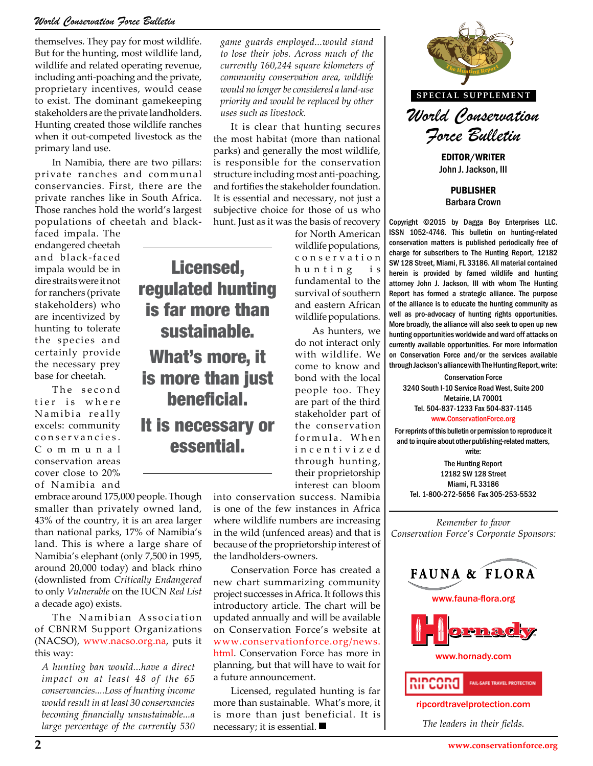#### *World Conservation Force Bulletin*

themselves. They pay for most wildlife. But for the hunting, most wildlife land, wildlife and related operating revenue, including anti-poaching and the private, proprietary incentives, would cease to exist. The dominant gamekeeping stakeholders are the private landholders. Hunting created those wildlife ranches when it out-competed livestock as the primary land use.

In Namibia, there are two pillars: private ranches and communal conservancies. First, there are the private ranches like in South Africa. Those ranches hold the world's largest populations of cheetah and black-

Licensed,

regulated hunting is far more than

sustainable.

What's more, it

is more than just

beneficial.

It is necessary or essential.

faced impala. The endangered cheetah and black-faced impala would be in dire straits were it not for ranchers (private stakeholders) who are incentivized by hunting to tolerate the species and certainly provide the necessary prey base for cheetah.

The second tier is where Namibia really excels: community c o n s e r v a n c i e s . C o m m u n a l conservation areas cover close to 20% of Namibia and

embrace around 175,000 people. Though smaller than privately owned land, 43% of the country, it is an area larger than national parks, 17% of Namibia's land. This is where a large share of Namibia's elephant (only 7,500 in 1995, around 20,000 today) and black rhino (downlisted from *Critically Endangered* to only *Vulnerable* on the IUCN *Red List* a decade ago) exists.

The Namibian Association of CBNRM Support Organizations (NACSO), www.nacso.org.na, puts it this way:

*A hunting ban would...have a direct impact on at least 48 of the 65 conservancies....Loss of hunting income would result in at least 30 conservancies becoming financially unsustainable...a large percentage of the currently 530* 

*game guards employed...would stand to lose their jobs. Across much of the currently 160,244 square kilometers of community conservation area, wildlife would no longer be considered a land-use priority and would be replaced by other uses such as livestock.*

It is clear that hunting secures the most habitat (more than national parks) and generally the most wildlife, is responsible for the conservation structure including most anti-poaching, and fortifies the stakeholder foundation. It is essential and necessary, not just a subjective choice for those of us who hunt. Just as it was the basis of recovery

for North American wildlife populations, c o n s e r v a t i o n hunting is fundamental to the survival of southern and eastern African wildlife populations.

As hunters, we do not interact only with wildlife. We come to know and bond with the local people too. They are part of the third stakeholder part of the conservation formula. When i n c e n t i v i z e d through hunting, their proprietorship interest can bloom

into conservation success. Namibia is one of the few instances in Africa where wildlife numbers are increasing in the wild (unfenced areas) and that is because of the proprietorship interest of the landholders-owners.

Conservation Force has created a new chart summarizing community project successes in Africa. It follows this introductory article. The chart will be updated annually and will be available on Conservation Force's website at www.conservationforce.org/news. html. Conservation Force has more in planning, but that will have to wait for a future announcement.

Licensed, regulated hunting is far more than sustainable. What's more, it is more than just beneficial. It is necessary; it is essential.



John J. Jackson, III

PUBLISHER Barbara Crown

Copyright ©2015 by Dagga Boy Enterprises LLC. ISSN 1052-4746. This bulletin on hunting-related conservation matters is published periodically free of charge for subscribers to The Hunting Report, 12182 SW 128 Street, Miami, FL 33186. All material contained herein is provided by famed wildlife and hunting attorney John J. Jackson, III with whom The Hunting Report has formed a strategic alliance. The purpose of the alliance is to educate the hunting community as well as pro-advocacy of hunting rights opportunities. ife populations.<br>More broadly, the alliance will also seek to open up new<br>As hunters, we hunting opportunities worldwide and ward off attacks on hunting opportunities worldwide and ward off attacks on currently available opportunities. For more information on Conservation Force and/or the services available through Jackson's alliance with The Hunting Report, write:<br> **THE HUNTING REPORT**<br> **THE HUNTING REPORT**<br> **THE HUNTING REPORT**<br> **THE HUNTING REPORT**<br> **THE HUNTING REPORT**<br> **THE HUNTING REPORT**<br> **THE HUNTING REPORT** 

Conservation Force 3240 South I-10 Service Road West, Suite 200 Metairie, LA 70001 Tel. 504-837-1233 Fax 504-837-1145 www.ConservationForce.org

For reprints of this bulletin or permission to reproduce it and to inquire about other publishing-related matters, write:

The Hunting Report 12182 SW 128 Street Miami, FL 33186 Tel. 1-800-272-5656 Fax 305-253-5532

*Remember to favor Conservation Force's Corporate Sponsors:*





www.hornady.com



ripcordtravelprotection.com

*The leaders in their fields.*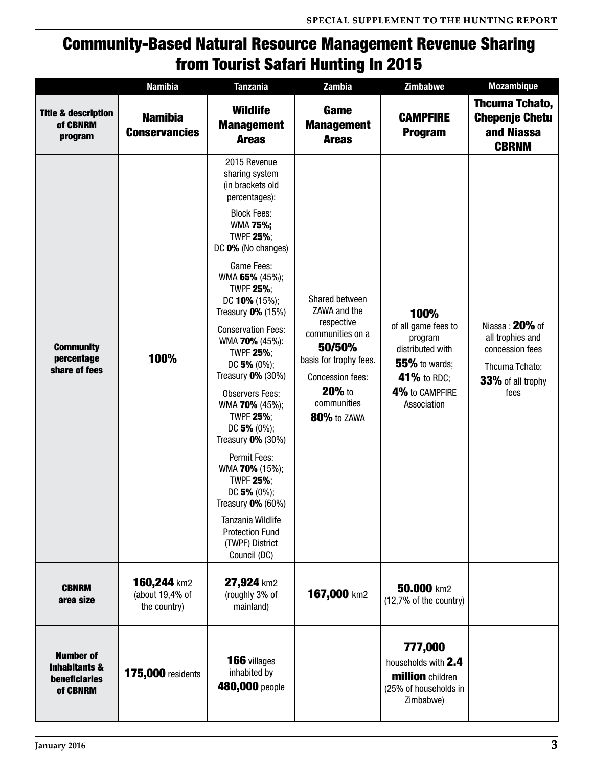## Community-Based Natural Resource Management Revenue Sharing from Tourist Safari Hunting In 2015

|                                                                       | <b>Namibia</b>                                 | <b>Tanzania</b>                                                                                                                                                                                                                                                                                                                                                                                                                                                                                                                                                                                                                                      | Zambia                                                                                                                                                                  | <b>Zimbabwe</b>                                                                                                                    | <b>Mozambique</b>                                                                                    |
|-----------------------------------------------------------------------|------------------------------------------------|------------------------------------------------------------------------------------------------------------------------------------------------------------------------------------------------------------------------------------------------------------------------------------------------------------------------------------------------------------------------------------------------------------------------------------------------------------------------------------------------------------------------------------------------------------------------------------------------------------------------------------------------------|-------------------------------------------------------------------------------------------------------------------------------------------------------------------------|------------------------------------------------------------------------------------------------------------------------------------|------------------------------------------------------------------------------------------------------|
| <b>Title &amp; description</b><br>of CBNRM<br>program                 | <b>Namibia</b><br><b>Conservancies</b>         | <b>Wildlife</b><br><b>Management</b><br><b>Areas</b>                                                                                                                                                                                                                                                                                                                                                                                                                                                                                                                                                                                                 | Game<br><b>Management</b><br><b>Areas</b>                                                                                                                               | <b>CAMPFIRE</b><br><b>Program</b>                                                                                                  | Thcuma Tchato,<br><b>Chepenje Chetu</b><br>and Niassa<br><b>CBRNM</b>                                |
| <b>Community</b><br>percentage<br>share of fees                       | 100%                                           | 2015 Revenue<br>sharing system<br>(in brackets old<br>percentages):<br><b>Block Fees:</b><br>WMA 75%;<br><b>TWPF 25%;</b><br>DC 0% (No changes)<br>Game Fees:<br>WMA 65% (45%);<br><b>TWPF 25%;</b><br>DC 10% (15%);<br>Treasury $0\%$ (15%)<br><b>Conservation Fees:</b><br>WMA 70% (45%):<br><b>TWPF 25%;</b><br>DC 5% $(0\%)$ ;<br>Treasury $0\%$ (30%)<br><b>Observers Fees:</b><br>WMA 70% (45%);<br><b>TWPF 25%;</b><br>DC 5% (0%);<br>Treasury $0\%$ (30%)<br>Permit Fees:<br>WMA 70% (15%);<br><b>TWPF 25%;</b><br>DC 5% $(0\%)$ ;<br>Treasury $0\%$ (60%)<br>Tanzania Wildlife<br><b>Protection Fund</b><br>(TWPF) District<br>Council (DC) | Shared between<br>ZAWA and the<br>respective<br>communities on a<br>50/50%<br>basis for trophy fees.<br><b>Concession fees:</b><br>20% to<br>communities<br>80% to ZAWA | 100%<br>of all game fees to<br>program<br>distributed with<br><b>55%</b> to wards;<br>41% to RDC;<br>4% to CAMPFIRE<br>Association | Niassa: 20% of<br>all trophies and<br>concession fees<br>Thcuma Tchato:<br>33% of all trophy<br>fees |
| <b>CBNRM</b><br>area size                                             | 160,244 km2<br>(about 19,4% of<br>the country) | 27,924 km2<br>(roughly 3% of<br>mainland)                                                                                                                                                                                                                                                                                                                                                                                                                                                                                                                                                                                                            | 167,000 km2                                                                                                                                                             | 50.000 km2<br>(12,7% of the country)                                                                                               |                                                                                                      |
| <b>Number of</b><br>inhabitants &<br><b>beneficiaries</b><br>of CBNRM | <b>175,000</b> residents                       | 166 villages<br>inhabited by<br>480,000 people                                                                                                                                                                                                                                                                                                                                                                                                                                                                                                                                                                                                       |                                                                                                                                                                         | 777,000<br>households with 2.4<br><b>million</b> children<br>(25% of households in<br>Zimbabwe)                                    |                                                                                                      |